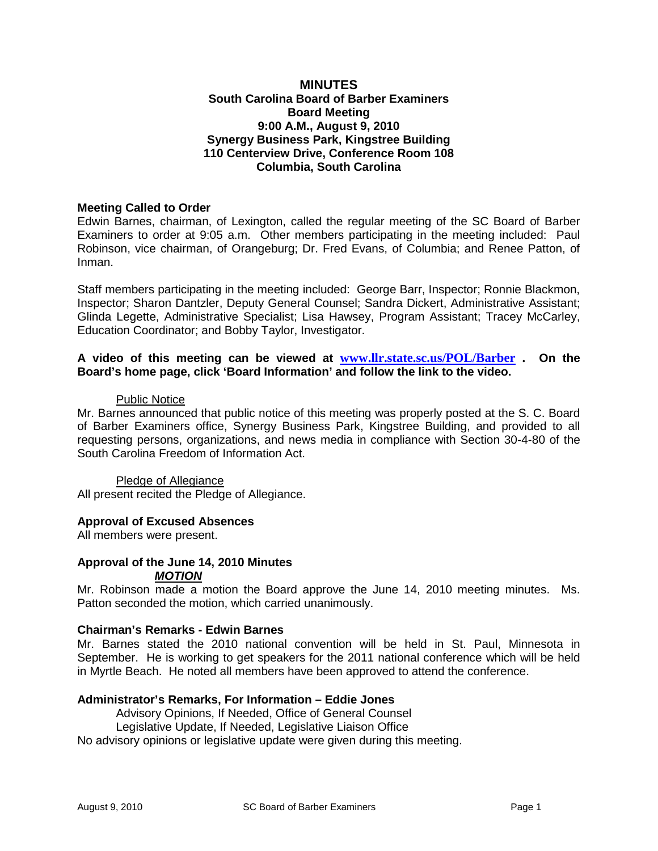## **MINUTES South Carolina Board of Barber Examiners Board Meeting 9:00 A.M., August 9, 2010 Synergy Business Park, Kingstree Building 110 Centerview Drive, Conference Room 108 Columbia, South Carolina**

## **Meeting Called to Order**

Edwin Barnes, chairman, of Lexington, called the regular meeting of the SC Board of Barber Examiners to order at 9:05 a.m. Other members participating in the meeting included: Paul Robinson, vice chairman, of Orangeburg; Dr. Fred Evans, of Columbia; and Renee Patton, of Inman.

Staff members participating in the meeting included: George Barr, Inspector; Ronnie Blackmon, Inspector; Sharon Dantzler, Deputy General Counsel; Sandra Dickert, Administrative Assistant; Glinda Legette, Administrative Specialist; Lisa Hawsey, Program Assistant; Tracey McCarley, Education Coordinator; and Bobby Taylor, Investigator.

## **A video of this meeting can be viewed at [www.llr.state.sc.us/POL/Barber](http://www.llr.state.sc.us/POL/Barber) . On the Board's home page, click 'Board Information' and follow the link to the video.**

#### Public Notice

Mr. Barnes announced that public notice of this meeting was properly posted at the S. C. Board of Barber Examiners office, Synergy Business Park, Kingstree Building, and provided to all requesting persons, organizations, and news media in compliance with Section 30-4-80 of the South Carolina Freedom of Information Act.

Pledge of Allegiance All present recited the Pledge of Allegiance.

### **Approval of Excused Absences**

All members were present.

#### **Approval of the June 14, 2010 Minutes** *MOTION*

Mr. Robinson made a motion the Board approve the June 14, 2010 meeting minutes. Ms. Patton seconded the motion, which carried unanimously.

### **Chairman's Remarks - Edwin Barnes**

Mr. Barnes stated the 2010 national convention will be held in St. Paul, Minnesota in September. He is working to get speakers for the 2011 national conference which will be held in Myrtle Beach. He noted all members have been approved to attend the conference.

### **Administrator's Remarks, For Information – Eddie Jones**

Advisory Opinions, If Needed, Office of General Counsel

Legislative Update, If Needed, Legislative Liaison Office

No advisory opinions or legislative update were given during this meeting.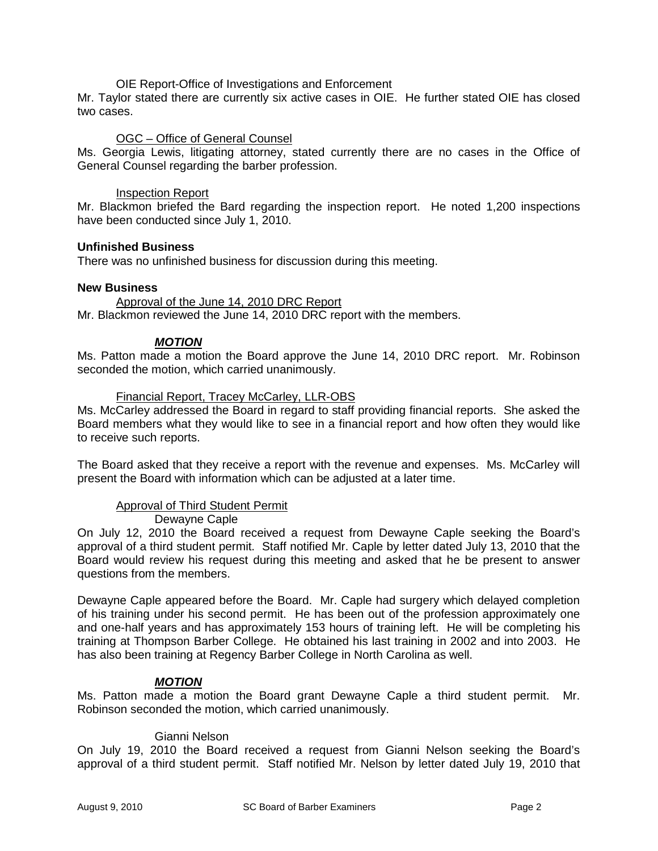### OIE Report-Office of Investigations and Enforcement

Mr. Taylor stated there are currently six active cases in OIE. He further stated OIE has closed two cases.

### OGC – Office of General Counsel

Ms. Georgia Lewis, litigating attorney, stated currently there are no cases in the Office of General Counsel regarding the barber profession.

#### Inspection Report

Mr. Blackmon briefed the Bard regarding the inspection report. He noted 1,200 inspections have been conducted since July 1, 2010.

#### **Unfinished Business**

There was no unfinished business for discussion during this meeting.

#### **New Business**

Approval of the June 14, 2010 DRC Report Mr. Blackmon reviewed the June 14, 2010 DRC report with the members.

### *MOTION*

Ms. Patton made a motion the Board approve the June 14, 2010 DRC report. Mr. Robinson seconded the motion, which carried unanimously.

#### Financial Report, Tracey McCarley, LLR-OBS

Ms. McCarley addressed the Board in regard to staff providing financial reports. She asked the Board members what they would like to see in a financial report and how often they would like to receive such reports.

The Board asked that they receive a report with the revenue and expenses. Ms. McCarley will present the Board with information which can be adjusted at a later time.

## Approval of Third Student Permit

Dewayne Caple

On July 12, 2010 the Board received a request from Dewayne Caple seeking the Board's approval of a third student permit. Staff notified Mr. Caple by letter dated July 13, 2010 that the Board would review his request during this meeting and asked that he be present to answer questions from the members.

Dewayne Caple appeared before the Board. Mr. Caple had surgery which delayed completion of his training under his second permit. He has been out of the profession approximately one and one-half years and has approximately 153 hours of training left. He will be completing his training at Thompson Barber College. He obtained his last training in 2002 and into 2003. He has also been training at Regency Barber College in North Carolina as well.

### *MOTION*

Ms. Patton made a motion the Board grant Dewayne Caple a third student permit. Mr. Robinson seconded the motion, which carried unanimously.

### Gianni Nelson

On July 19, 2010 the Board received a request from Gianni Nelson seeking the Board's approval of a third student permit. Staff notified Mr. Nelson by letter dated July 19, 2010 that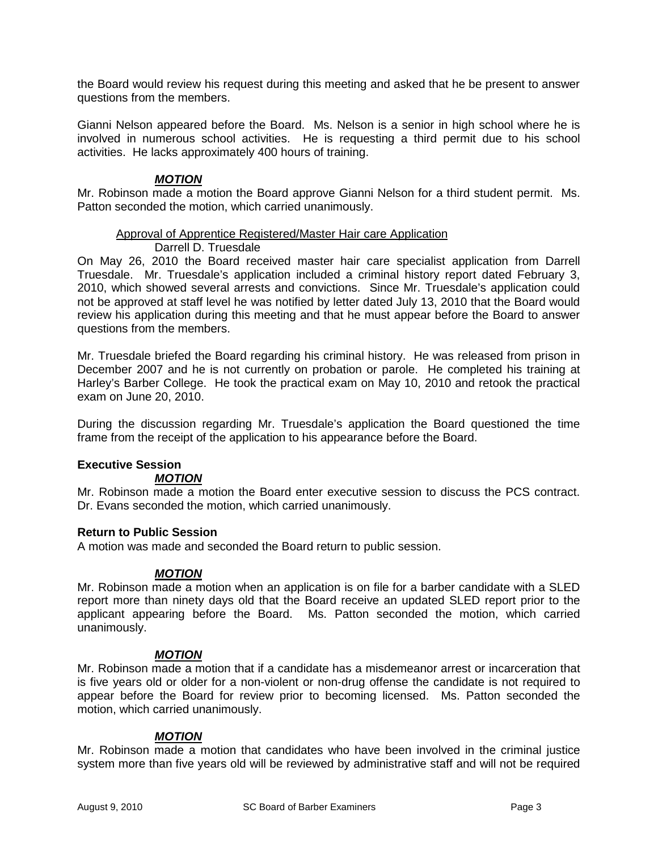the Board would review his request during this meeting and asked that he be present to answer questions from the members.

Gianni Nelson appeared before the Board. Ms. Nelson is a senior in high school where he is involved in numerous school activities. He is requesting a third permit due to his school activities. He lacks approximately 400 hours of training.

## *MOTION*

Mr. Robinson made a motion the Board approve Gianni Nelson for a third student permit. Ms. Patton seconded the motion, which carried unanimously.

### Approval of Apprentice Registered/Master Hair care Application

### Darrell D. Truesdale

On May 26, 2010 the Board received master hair care specialist application from Darrell Truesdale. Mr. Truesdale's application included a criminal history report dated February 3, 2010, which showed several arrests and convictions. Since Mr. Truesdale's application could not be approved at staff level he was notified by letter dated July 13, 2010 that the Board would review his application during this meeting and that he must appear before the Board to answer questions from the members.

Mr. Truesdale briefed the Board regarding his criminal history. He was released from prison in December 2007 and he is not currently on probation or parole. He completed his training at Harley's Barber College. He took the practical exam on May 10, 2010 and retook the practical exam on June 20, 2010.

During the discussion regarding Mr. Truesdale's application the Board questioned the time frame from the receipt of the application to his appearance before the Board.

# **Executive Session**

### *MOTION*

Mr. Robinson made a motion the Board enter executive session to discuss the PCS contract. Dr. Evans seconded the motion, which carried unanimously.

### **Return to Public Session**

A motion was made and seconded the Board return to public session.

### *MOTION*

Mr. Robinson made a motion when an application is on file for a barber candidate with a SLED report more than ninety days old that the Board receive an updated SLED report prior to the applicant appearing before the Board. Ms. Patton seconded the motion, which carried unanimously.

### *MOTION*

Mr. Robinson made a motion that if a candidate has a misdemeanor arrest or incarceration that is five years old or older for a non-violent or non-drug offense the candidate is not required to appear before the Board for review prior to becoming licensed. Ms. Patton seconded the motion, which carried unanimously.

### *MOTION*

Mr. Robinson made a motion that candidates who have been involved in the criminal justice system more than five years old will be reviewed by administrative staff and will not be required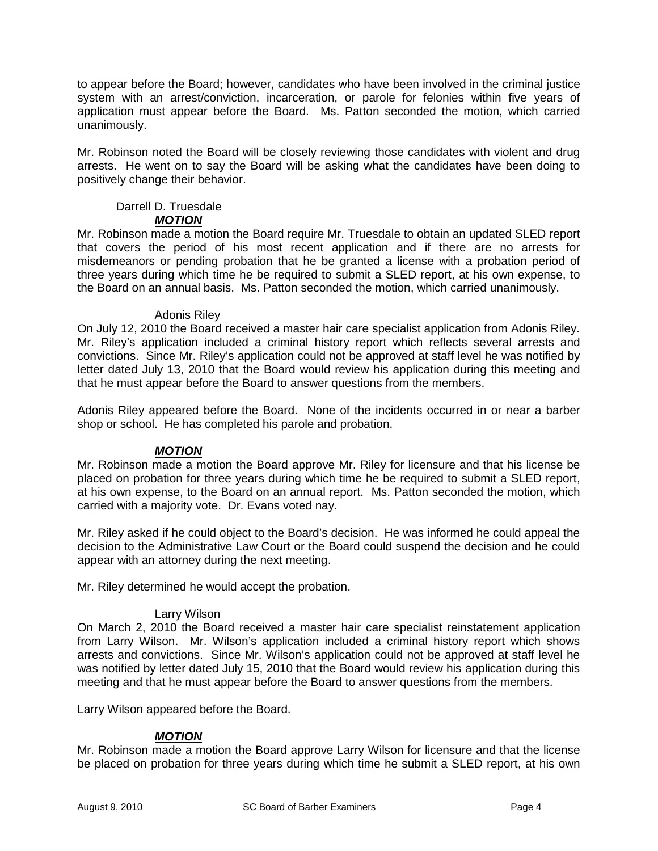to appear before the Board; however, candidates who have been involved in the criminal justice system with an arrest/conviction, incarceration, or parole for felonies within five years of application must appear before the Board. Ms. Patton seconded the motion, which carried unanimously.

Mr. Robinson noted the Board will be closely reviewing those candidates with violent and drug arrests. He went on to say the Board will be asking what the candidates have been doing to positively change their behavior.

#### Darrell D. Truesdale *MOTION*

Mr. Robinson made a motion the Board require Mr. Truesdale to obtain an updated SLED report that covers the period of his most recent application and if there are no arrests for misdemeanors or pending probation that he be granted a license with a probation period of three years during which time he be required to submit a SLED report, at his own expense, to the Board on an annual basis. Ms. Patton seconded the motion, which carried unanimously.

## Adonis Riley

On July 12, 2010 the Board received a master hair care specialist application from Adonis Riley. Mr. Riley's application included a criminal history report which reflects several arrests and convictions. Since Mr. Riley's application could not be approved at staff level he was notified by letter dated July 13, 2010 that the Board would review his application during this meeting and that he must appear before the Board to answer questions from the members.

Adonis Riley appeared before the Board. None of the incidents occurred in or near a barber shop or school. He has completed his parole and probation.

# *MOTION*

Mr. Robinson made a motion the Board approve Mr. Riley for licensure and that his license be placed on probation for three years during which time he be required to submit a SLED report, at his own expense, to the Board on an annual report. Ms. Patton seconded the motion, which carried with a majority vote. Dr. Evans voted nay.

Mr. Riley asked if he could object to the Board's decision. He was informed he could appeal the decision to the Administrative Law Court or the Board could suspend the decision and he could appear with an attorney during the next meeting.

Mr. Riley determined he would accept the probation.

# Larry Wilson

On March 2, 2010 the Board received a master hair care specialist reinstatement application from Larry Wilson. Mr. Wilson's application included a criminal history report which shows arrests and convictions. Since Mr. Wilson's application could not be approved at staff level he was notified by letter dated July 15, 2010 that the Board would review his application during this meeting and that he must appear before the Board to answer questions from the members.

Larry Wilson appeared before the Board.

# *MOTION*

Mr. Robinson made a motion the Board approve Larry Wilson for licensure and that the license be placed on probation for three years during which time he submit a SLED report, at his own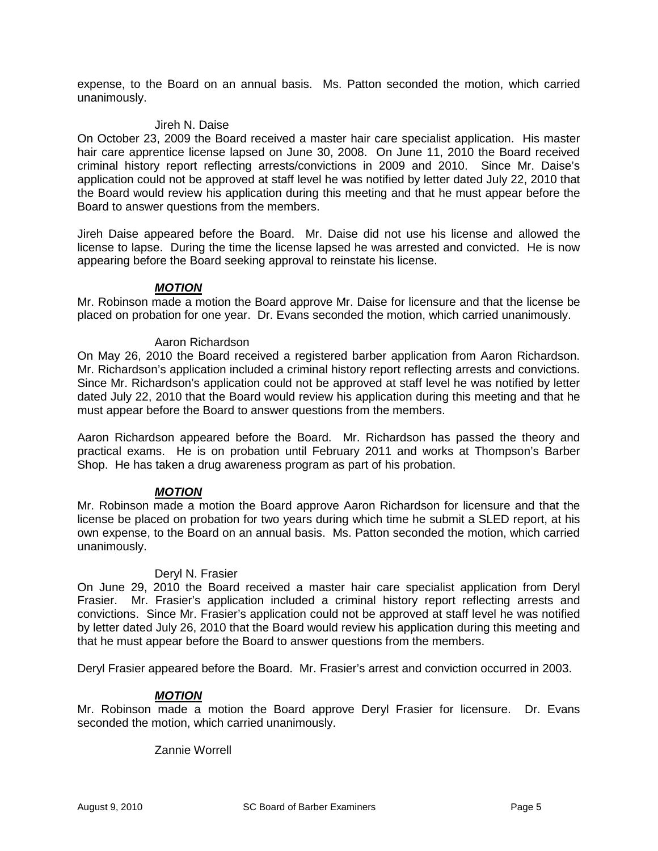expense, to the Board on an annual basis. Ms. Patton seconded the motion, which carried unanimously.

#### Jireh N. Daise

On October 23, 2009 the Board received a master hair care specialist application. His master hair care apprentice license lapsed on June 30, 2008. On June 11, 2010 the Board received criminal history report reflecting arrests/convictions in 2009 and 2010. Since Mr. Daise's application could not be approved at staff level he was notified by letter dated July 22, 2010 that the Board would review his application during this meeting and that he must appear before the Board to answer questions from the members.

Jireh Daise appeared before the Board. Mr. Daise did not use his license and allowed the license to lapse. During the time the license lapsed he was arrested and convicted. He is now appearing before the Board seeking approval to reinstate his license.

### *MOTION*

Mr. Robinson made a motion the Board approve Mr. Daise for licensure and that the license be placed on probation for one year. Dr. Evans seconded the motion, which carried unanimously.

### Aaron Richardson

On May 26, 2010 the Board received a registered barber application from Aaron Richardson. Mr. Richardson's application included a criminal history report reflecting arrests and convictions. Since Mr. Richardson's application could not be approved at staff level he was notified by letter dated July 22, 2010 that the Board would review his application during this meeting and that he must appear before the Board to answer questions from the members.

Aaron Richardson appeared before the Board. Mr. Richardson has passed the theory and practical exams. He is on probation until February 2011 and works at Thompson's Barber Shop. He has taken a drug awareness program as part of his probation.

### *MOTION*

Mr. Robinson made a motion the Board approve Aaron Richardson for licensure and that the license be placed on probation for two years during which time he submit a SLED report, at his own expense, to the Board on an annual basis. Ms. Patton seconded the motion, which carried unanimously.

### Deryl N. Frasier

On June 29, 2010 the Board received a master hair care specialist application from Deryl Frasier. Mr. Frasier's application included a criminal history report reflecting arrests and convictions. Since Mr. Frasier's application could not be approved at staff level he was notified by letter dated July 26, 2010 that the Board would review his application during this meeting and that he must appear before the Board to answer questions from the members.

Deryl Frasier appeared before the Board. Mr. Frasier's arrest and conviction occurred in 2003.

### *MOTION*

Mr. Robinson made a motion the Board approve Deryl Frasier for licensure. Dr. Evans seconded the motion, which carried unanimously.

Zannie Worrell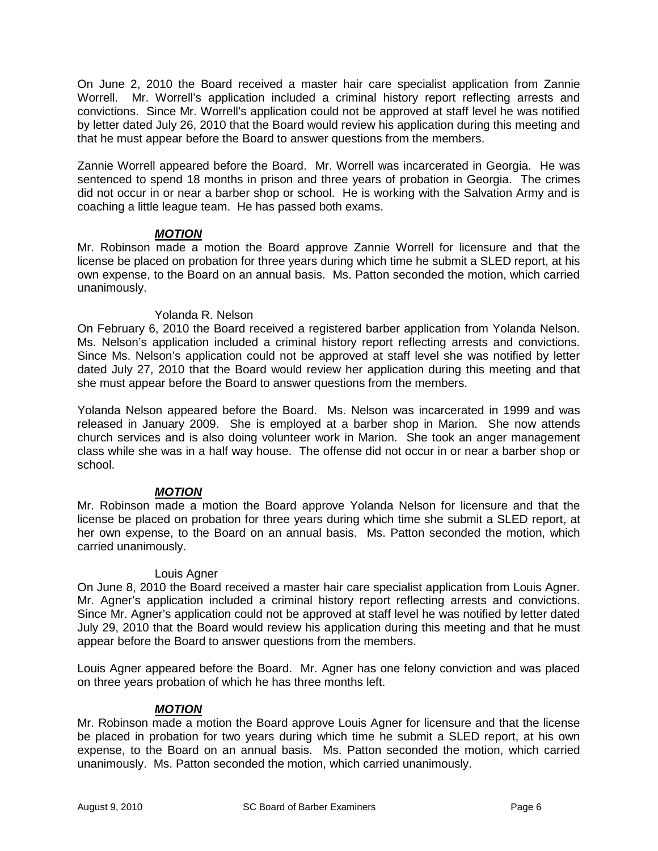On June 2, 2010 the Board received a master hair care specialist application from Zannie Worrell. Mr. Worrell's application included a criminal history report reflecting arrests and convictions. Since Mr. Worrell's application could not be approved at staff level he was notified by letter dated July 26, 2010 that the Board would review his application during this meeting and that he must appear before the Board to answer questions from the members.

Zannie Worrell appeared before the Board. Mr. Worrell was incarcerated in Georgia. He was sentenced to spend 18 months in prison and three years of probation in Georgia. The crimes did not occur in or near a barber shop or school. He is working with the Salvation Army and is coaching a little league team. He has passed both exams.

# *MOTION*

Mr. Robinson made a motion the Board approve Zannie Worrell for licensure and that the license be placed on probation for three years during which time he submit a SLED report, at his own expense, to the Board on an annual basis. Ms. Patton seconded the motion, which carried unanimously.

# Yolanda R. Nelson

On February 6, 2010 the Board received a registered barber application from Yolanda Nelson. Ms. Nelson's application included a criminal history report reflecting arrests and convictions. Since Ms. Nelson's application could not be approved at staff level she was notified by letter dated July 27, 2010 that the Board would review her application during this meeting and that she must appear before the Board to answer questions from the members.

Yolanda Nelson appeared before the Board. Ms. Nelson was incarcerated in 1999 and was released in January 2009. She is employed at a barber shop in Marion. She now attends church services and is also doing volunteer work in Marion. She took an anger management class while she was in a half way house. The offense did not occur in or near a barber shop or school.

# *MOTION*

Mr. Robinson made a motion the Board approve Yolanda Nelson for licensure and that the license be placed on probation for three years during which time she submit a SLED report, at her own expense, to the Board on an annual basis. Ms. Patton seconded the motion, which carried unanimously.

## Louis Agner

On June 8, 2010 the Board received a master hair care specialist application from Louis Agner. Mr. Agner's application included a criminal history report reflecting arrests and convictions. Since Mr. Agner's application could not be approved at staff level he was notified by letter dated July 29, 2010 that the Board would review his application during this meeting and that he must appear before the Board to answer questions from the members.

Louis Agner appeared before the Board. Mr. Agner has one felony conviction and was placed on three years probation of which he has three months left.

# *MOTION*

Mr. Robinson made a motion the Board approve Louis Agner for licensure and that the license be placed in probation for two years during which time he submit a SLED report, at his own expense, to the Board on an annual basis. Ms. Patton seconded the motion, which carried unanimously. Ms. Patton seconded the motion, which carried unanimously.